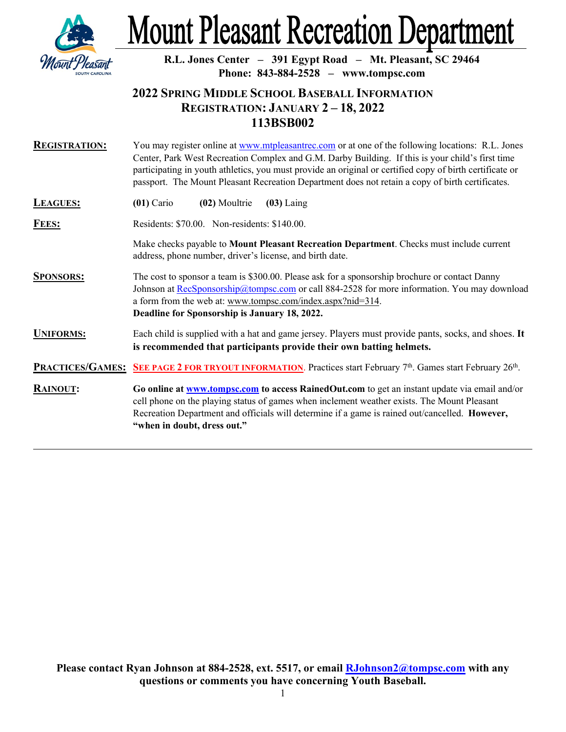

## **Mount Pleasant Recreation Department**

**R.L. Jones Center – 391 Egypt Road – Mt. Pleasant, SC 29464 Phone: 843-884-2528 – www.tompsc.com**

## **2022 SPRING MIDDLE SCHOOL BASEBALL INFORMATION REGISTRATION: JANUARY 2 – 18, 2022 113BSB002**

| <b>REGISTRATION:</b> | You may register online at www.mtpleasantrec.com or at one of the following locations: R.L. Jones<br>Center, Park West Recreation Complex and G.M. Darby Building. If this is your child's first time<br>participating in youth athletics, you must provide an original or certified copy of birth certificate or<br>passport. The Mount Pleasant Recreation Department does not retain a copy of birth certificates. |  |  |
|----------------------|-----------------------------------------------------------------------------------------------------------------------------------------------------------------------------------------------------------------------------------------------------------------------------------------------------------------------------------------------------------------------------------------------------------------------|--|--|
| <b>LEAGUES:</b>      | $(01)$ Cario<br>(02) Moultrie<br>$(03)$ Laing                                                                                                                                                                                                                                                                                                                                                                         |  |  |
| <b>FEES:</b>         | Residents: \$70.00. Non-residents: \$140.00.                                                                                                                                                                                                                                                                                                                                                                          |  |  |
|                      | Make checks payable to Mount Pleasant Recreation Department. Checks must include current<br>address, phone number, driver's license, and birth date.                                                                                                                                                                                                                                                                  |  |  |
| <b>SPONSORS:</b>     | The cost to sponsor a team is \$300.00. Please ask for a sponsorship brochure or contact Danny<br>Johnson at RecSponsorship@tompsc.com or call 884-2528 for more information. You may download<br>a form from the web at: www.tompsc.com/index.aspx?nid=314.<br>Deadline for Sponsorship is January 18, 2022.                                                                                                         |  |  |
| <b>UNIFORMS:</b>     | Each child is supplied with a hat and game jersey. Players must provide pants, socks, and shoes. It<br>is recommended that participants provide their own batting helmets.                                                                                                                                                                                                                                            |  |  |
|                      | <b>PRACTICES/GAMES:</b> SEE PAGE 2 FOR TRYOUT INFORMATION. Practices start February 7 <sup>th</sup> . Games start February 26 <sup>th</sup> .                                                                                                                                                                                                                                                                         |  |  |
| <b>RAINOUT:</b>      | Go online at www.tompsc.com to access RainedOut.com to get an instant update via email and/or<br>cell phone on the playing status of games when inclement weather exists. The Mount Pleasant<br>Recreation Department and officials will determine if a game is rained out/cancelled. However,<br>"when in doubt, dress out."                                                                                         |  |  |